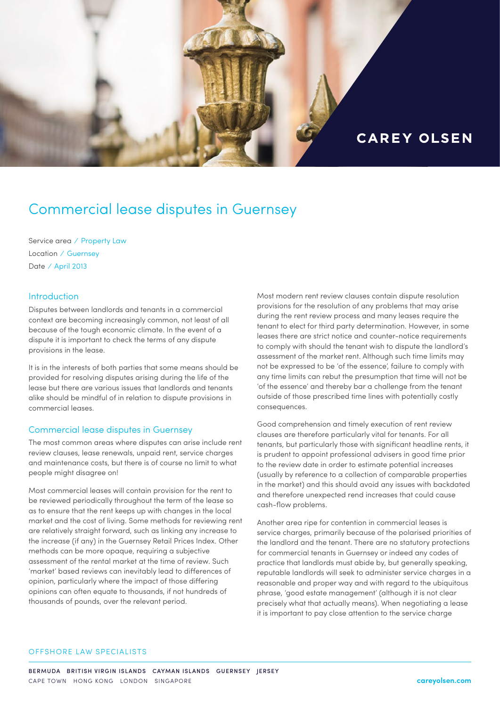

# Commercial lease disputes in Guernsey

Service area ⁄ Property Law Location ⁄ Guernsey Date / April 2013

## **Introduction**

Disputes between landlords and tenants in a commercial context are becoming increasingly common, not least of all because of the tough economic climate. In the event of a dispute it is important to check the terms of any dispute provisions in the lease.

It is in the interests of both parties that some means should be provided for resolving disputes arising during the life of the lease but there are various issues that landlords and tenants alike should be mindful of in relation to dispute provisions in commercial leases.

## Commercial lease disputes in Guernsey

The most common areas where disputes can arise include rent review clauses, lease renewals, unpaid rent, service charges and maintenance costs, but there is of course no limit to what people might disagree on!

Most commercial leases will contain provision for the rent to be reviewed periodically throughout the term of the lease so as to ensure that the rent keeps up with changes in the local market and the cost of living. Some methods for reviewing rent are relatively straight forward, such as linking any increase to the increase (if any) in the Guernsey Retail Prices Index. Other methods can be more opaque, requiring a subjective assessment of the rental market at the time of review. Such 'market' based reviews can inevitably lead to differences of opinion, particularly where the impact of those differing opinions can often equate to thousands, if not hundreds of thousands of pounds, over the relevant period.

Most modern rent review clauses contain dispute resolution provisions for the resolution of any problems that may arise during the rent review process and many leases require the tenant to elect for third party determination. However, in some leases there are strict notice and counter-notice requirements to comply with should the tenant wish to dispute the landlord's assessment of the market rent. Although such time limits may not be expressed to be 'of the essence', failure to comply with any time limits can rebut the presumption that time will not be 'of the essence' and thereby bar a challenge from the tenant outside of those prescribed time lines with potentially costly consequences.

Good comprehension and timely execution of rent review clauses are therefore particularly vital for tenants. For all tenants, but particularly those with significant headline rents, it is prudent to appoint professional advisers in good time prior to the review date in order to estimate potential increases (usually by reference to a collection of comparable properties in the market) and this should avoid any issues with backdated and therefore unexpected rend increases that could cause cash-flow problems.

Another area ripe for contention in commercial leases is service charges, primarily because of the polarised priorities of the landlord and the tenant. There are no statutory protections for commercial tenants in Guernsey or indeed any codes of practice that landlords must abide by, but generally speaking, reputable landlords will seek to administer service charges in a reasonable and proper way and with regard to the ubiquitous phrase, 'good estate management' (although it is not clear precisely what that actually means). When negotiating a lease it is important to pay close attention to the service charge

### OFFSHORE LAW SPECIALISTS